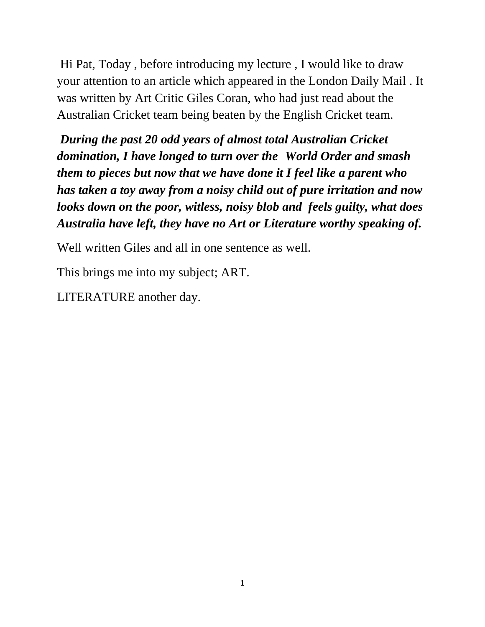Hi Pat, Today , before introducing my lecture , I would like to draw your attention to an article which appeared in the London Daily Mail . It was written by Art Critic Giles Coran, who had just read about the Australian Cricket team being beaten by the English Cricket team.

*During the past 20 odd years of almost total Australian Cricket domination, I have longed to turn over the World Order and smash them to pieces but now that we have done it I feel like a parent who has taken a toy away from a noisy child out of pure irritation and now looks down on the poor, witless, noisy blob and feels guilty, what does Australia have left, they have no Art or Literature worthy speaking of.* 

Well written Giles and all in one sentence as well.

This brings me into my subject; ART.

LITERATURE another day.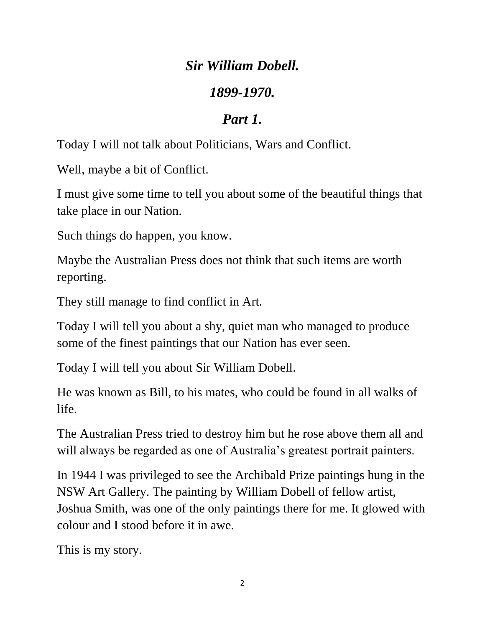#### *Sir William Dobell.*

#### *1899-1970.*

## *Part 1.*

Today I will not talk about Politicians, Wars and Conflict.

Well, maybe a bit of Conflict.

I must give some time to tell you about some of the beautiful things that take place in our Nation.

Such things do happen, you know.

Maybe the Australian Press does not think that such items are worth reporting.

They still manage to find conflict in Art.

Today I will tell you about a shy, quiet man who managed to produce some of the finest paintings that our Nation has ever seen.

Today I will tell you about Sir William Dobell.

He was known as Bill, to his mates, who could be found in all walks of life.

The Australian Press tried to destroy him but he rose above them all and will always be regarded as one of Australia's greatest portrait painters.

In 1944 I was privileged to see the Archibald Prize paintings hung in the NSW Art Gallery. The painting by William Dobell of fellow artist, Joshua Smith, was one of the only paintings there for me. It glowed with colour and I stood before it in awe.

This is my story.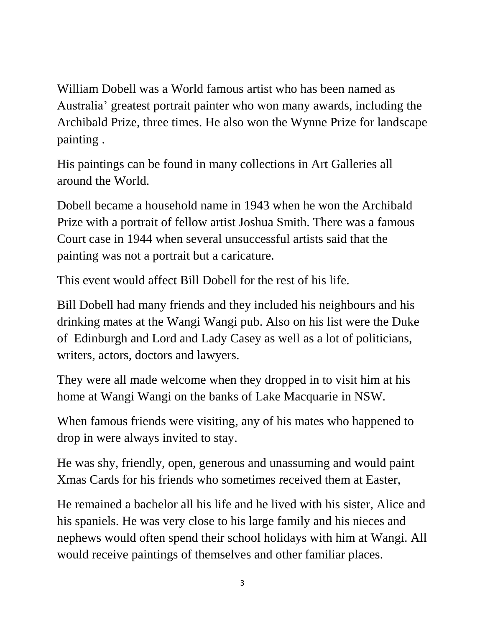William Dobell was a World famous artist who has been named as Australia' greatest portrait painter who won many awards, including the Archibald Prize, three times. He also won the Wynne Prize for landscape painting .

His paintings can be found in many collections in Art Galleries all around the World.

Dobell became a household name in 1943 when he won the Archibald Prize with a portrait of fellow artist Joshua Smith. There was a famous Court case in 1944 when several unsuccessful artists said that the painting was not a portrait but a caricature.

This event would affect Bill Dobell for the rest of his life.

Bill Dobell had many friends and they included his neighbours and his drinking mates at the Wangi Wangi pub. Also on his list were the Duke of Edinburgh and Lord and Lady Casey as well as a lot of politicians, writers, actors, doctors and lawyers.

They were all made welcome when they dropped in to visit him at his home at Wangi Wangi on the banks of Lake Macquarie in NSW.

When famous friends were visiting, any of his mates who happened to drop in were always invited to stay.

He was shy, friendly, open, generous and unassuming and would paint Xmas Cards for his friends who sometimes received them at Easter,

He remained a bachelor all his life and he lived with his sister, Alice and his spaniels. He was very close to his large family and his nieces and nephews would often spend their school holidays with him at Wangi. All would receive paintings of themselves and other familiar places.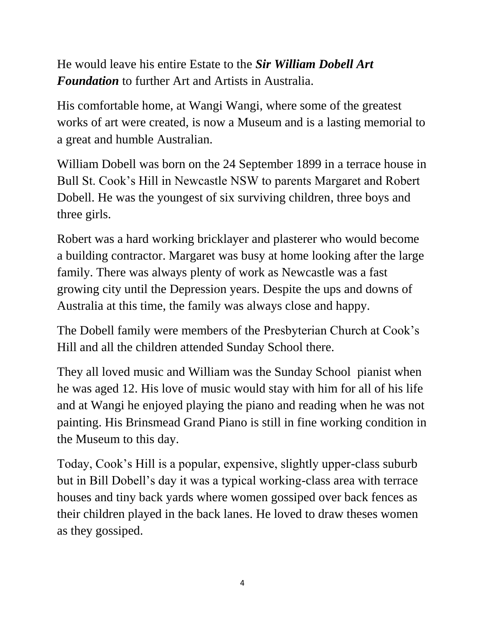He would leave his entire Estate to the *Sir William Dobell Art Foundation* to further Art and Artists in Australia.

His comfortable home, at Wangi Wangi, where some of the greatest works of art were created, is now a Museum and is a lasting memorial to a great and humble Australian.

William Dobell was born on the 24 September 1899 in a terrace house in Bull St. Cook's Hill in Newcastle NSW to parents Margaret and Robert Dobell. He was the youngest of six surviving children, three boys and three girls.

Robert was a hard working bricklayer and plasterer who would become a building contractor. Margaret was busy at home looking after the large family. There was always plenty of work as Newcastle was a fast growing city until the Depression years. Despite the ups and downs of Australia at this time, the family was always close and happy.

The Dobell family were members of the Presbyterian Church at Cook's Hill and all the children attended Sunday School there.

They all loved music and William was the Sunday School pianist when he was aged 12. His love of music would stay with him for all of his life and at Wangi he enjoyed playing the piano and reading when he was not painting. His Brinsmead Grand Piano is still in fine working condition in the Museum to this day.

Today, Cook's Hill is a popular, expensive, slightly upper-class suburb but in Bill Dobell's day it was a typical working-class area with terrace houses and tiny back yards where women gossiped over back fences as their children played in the back lanes. He loved to draw theses women as they gossiped.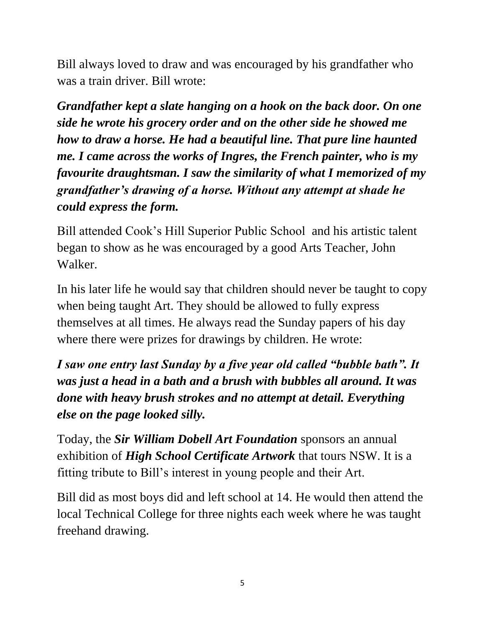Bill always loved to draw and was encouraged by his grandfather who was a train driver. Bill wrote:

*Grandfather kept a slate hanging on a hook on the back door. On one side he wrote his grocery order and on the other side he showed me how to draw a horse. He had a beautiful line. That pure line haunted me. I came across the works of Ingres, the French painter, who is my favourite draughtsman. I saw the similarity of what I memorized of my grandfather's drawing of a horse. Without any attempt at shade he could express the form.* 

Bill attended Cook's Hill Superior Public School and his artistic talent began to show as he was encouraged by a good Arts Teacher, John Walker.

In his later life he would say that children should never be taught to copy when being taught Art. They should be allowed to fully express themselves at all times. He always read the Sunday papers of his day where there were prizes for drawings by children. He wrote:

*I saw one entry last Sunday by a five year old called "bubble bath". It was just a head in a bath and a brush with bubbles all around. It was done with heavy brush strokes and no attempt at detail. Everything else on the page looked silly.*

Today, the *Sir William Dobell Art Foundation* sponsors an annual exhibition of *High School Certificate Artwork* that tours NSW. It is a fitting tribute to Bill's interest in young people and their Art.

Bill did as most boys did and left school at 14. He would then attend the local Technical College for three nights each week where he was taught freehand drawing.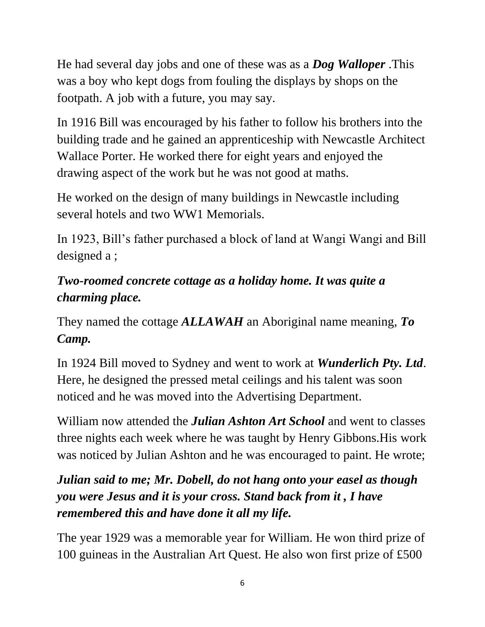He had several day jobs and one of these was as a *Dog Walloper* .This was a boy who kept dogs from fouling the displays by shops on the footpath. A job with a future, you may say.

In 1916 Bill was encouraged by his father to follow his brothers into the building trade and he gained an apprenticeship with Newcastle Architect Wallace Porter. He worked there for eight years and enjoyed the drawing aspect of the work but he was not good at maths.

He worked on the design of many buildings in Newcastle including several hotels and two WW1 Memorials.

In 1923, Bill's father purchased a block of land at Wangi Wangi and Bill designed a ;

## *Two-roomed concrete cottage as a holiday home. It was quite a charming place.*

They named the cottage *ALLAWAH* an Aboriginal name meaning, *To Camp.*

In 1924 Bill moved to Sydney and went to work at *Wunderlich Pty. Ltd*. Here, he designed the pressed metal ceilings and his talent was soon noticed and he was moved into the Advertising Department.

William now attended the *Julian Ashton Art School* and went to classes three nights each week where he was taught by Henry Gibbons.His work was noticed by Julian Ashton and he was encouraged to paint. He wrote;

# *Julian said to me; Mr. Dobell, do not hang onto your easel as though you were Jesus and it is your cross. Stand back from it , I have remembered this and have done it all my life.*

The year 1929 was a memorable year for William. He won third prize of 100 guineas in the Australian Art Quest. He also won first prize of £500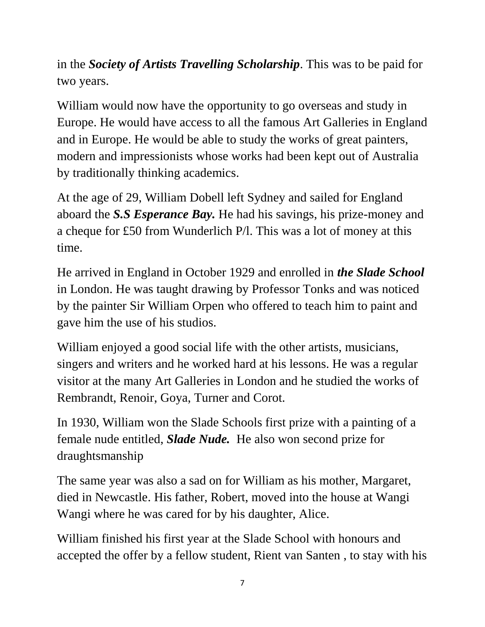in the *Society of Artists Travelling Scholarship*. This was to be paid for two years.

William would now have the opportunity to go overseas and study in Europe. He would have access to all the famous Art Galleries in England and in Europe. He would be able to study the works of great painters, modern and impressionists whose works had been kept out of Australia by traditionally thinking academics.

At the age of 29, William Dobell left Sydney and sailed for England aboard the *S.S Esperance Bay.* He had his savings, his prize-money and a cheque for £50 from Wunderlich P/l. This was a lot of money at this time.

He arrived in England in October 1929 and enrolled in *the Slade School* in London. He was taught drawing by Professor Tonks and was noticed by the painter Sir William Orpen who offered to teach him to paint and gave him the use of his studios.

William enjoyed a good social life with the other artists, musicians, singers and writers and he worked hard at his lessons. He was a regular visitor at the many Art Galleries in London and he studied the works of Rembrandt, Renoir, Goya, Turner and Corot.

In 1930, William won the Slade Schools first prize with a painting of a female nude entitled, *Slade Nude.* He also won second prize for draughtsmanship

The same year was also a sad on for William as his mother, Margaret, died in Newcastle. His father, Robert, moved into the house at Wangi Wangi where he was cared for by his daughter, Alice.

William finished his first year at the Slade School with honours and accepted the offer by a fellow student, Rient van Santen , to stay with his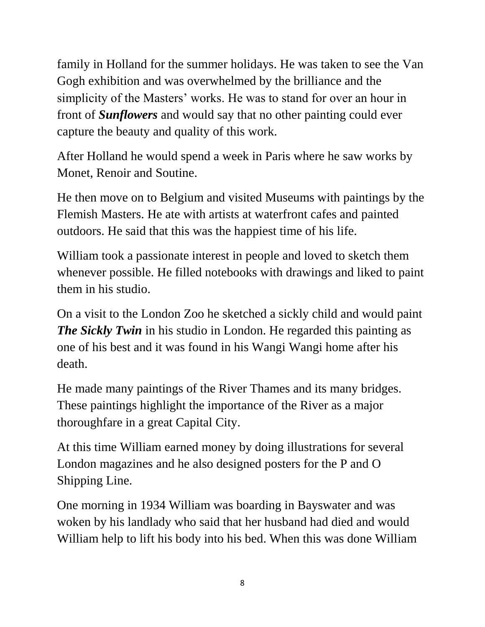family in Holland for the summer holidays. He was taken to see the Van Gogh exhibition and was overwhelmed by the brilliance and the simplicity of the Masters' works. He was to stand for over an hour in front of *Sunflowers* and would say that no other painting could ever capture the beauty and quality of this work.

After Holland he would spend a week in Paris where he saw works by Monet, Renoir and Soutine.

He then move on to Belgium and visited Museums with paintings by the Flemish Masters. He ate with artists at waterfront cafes and painted outdoors. He said that this was the happiest time of his life.

William took a passionate interest in people and loved to sketch them whenever possible. He filled notebooks with drawings and liked to paint them in his studio.

On a visit to the London Zoo he sketched a sickly child and would paint *The Sickly Twin* in his studio in London. He regarded this painting as one of his best and it was found in his Wangi Wangi home after his death.

He made many paintings of the River Thames and its many bridges. These paintings highlight the importance of the River as a major thoroughfare in a great Capital City.

At this time William earned money by doing illustrations for several London magazines and he also designed posters for the P and O Shipping Line.

One morning in 1934 William was boarding in Bayswater and was woken by his landlady who said that her husband had died and would William help to lift his body into his bed. When this was done William